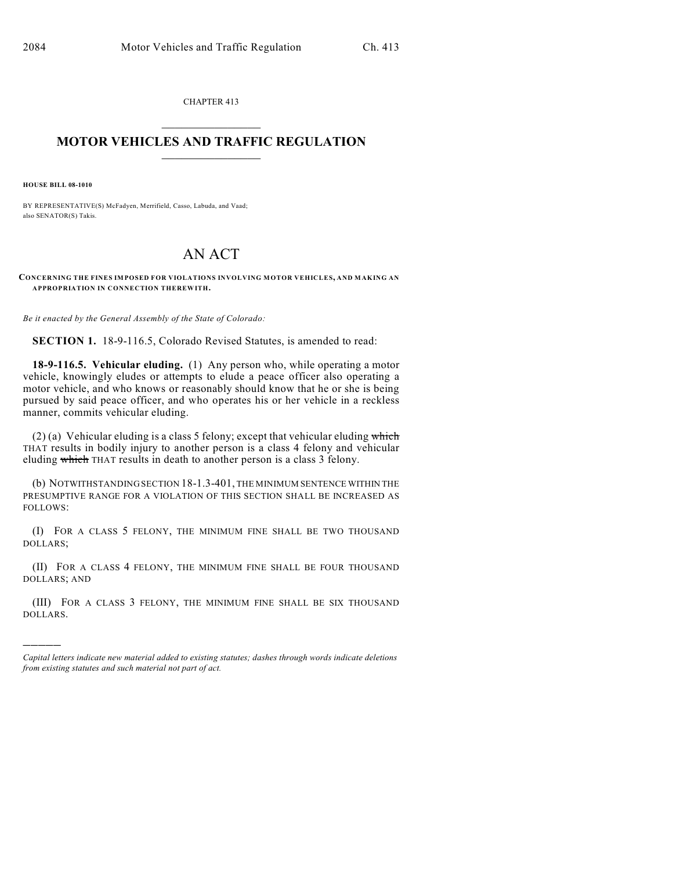CHAPTER 413  $\overline{\phantom{a}}$  . The set of the set of the set of the set of the set of the set of the set of the set of the set of the set of the set of the set of the set of the set of the set of the set of the set of the set of the set o

#### **MOTOR VEHICLES AND TRAFFIC REGULATION**  $\frac{1}{2}$  ,  $\frac{1}{2}$  ,  $\frac{1}{2}$  ,  $\frac{1}{2}$  ,  $\frac{1}{2}$  ,  $\frac{1}{2}$  ,  $\frac{1}{2}$  ,  $\frac{1}{2}$

**HOUSE BILL 08-1010**

)))))

BY REPRESENTATIVE(S) McFadyen, Merrifield, Casso, Labuda, and Vaad; also SENATOR(S) Takis.

# AN ACT

**CONCERNING THE FINES IMPOSED FOR VIOLATIONS INVOLVING MOTOR VEHICLES, AND MAKING AN APPROPRIATION IN CONNECTION THEREWITH.**

*Be it enacted by the General Assembly of the State of Colorado:*

**SECTION 1.** 18-9-116.5, Colorado Revised Statutes, is amended to read:

**18-9-116.5. Vehicular eluding.** (1) Any person who, while operating a motor vehicle, knowingly eludes or attempts to elude a peace officer also operating a motor vehicle, and who knows or reasonably should know that he or she is being pursued by said peace officer, and who operates his or her vehicle in a reckless manner, commits vehicular eluding.

(2) (a) Vehicular eluding is a class 5 felony; except that vehicular eluding which THAT results in bodily injury to another person is a class 4 felony and vehicular eluding which THAT results in death to another person is a class 3 felony.

(b) NOTWITHSTANDING SECTION 18-1.3-401, THE MINIMUM SENTENCE WITHIN THE PRESUMPTIVE RANGE FOR A VIOLATION OF THIS SECTION SHALL BE INCREASED AS FOLLOWS:

(I) FOR A CLASS 5 FELONY, THE MINIMUM FINE SHALL BE TWO THOUSAND DOLLARS;

(II) FOR A CLASS 4 FELONY, THE MINIMUM FINE SHALL BE FOUR THOUSAND DOLLARS; AND

(III) FOR A CLASS 3 FELONY, THE MINIMUM FINE SHALL BE SIX THOUSAND DOLLARS.

*Capital letters indicate new material added to existing statutes; dashes through words indicate deletions from existing statutes and such material not part of act.*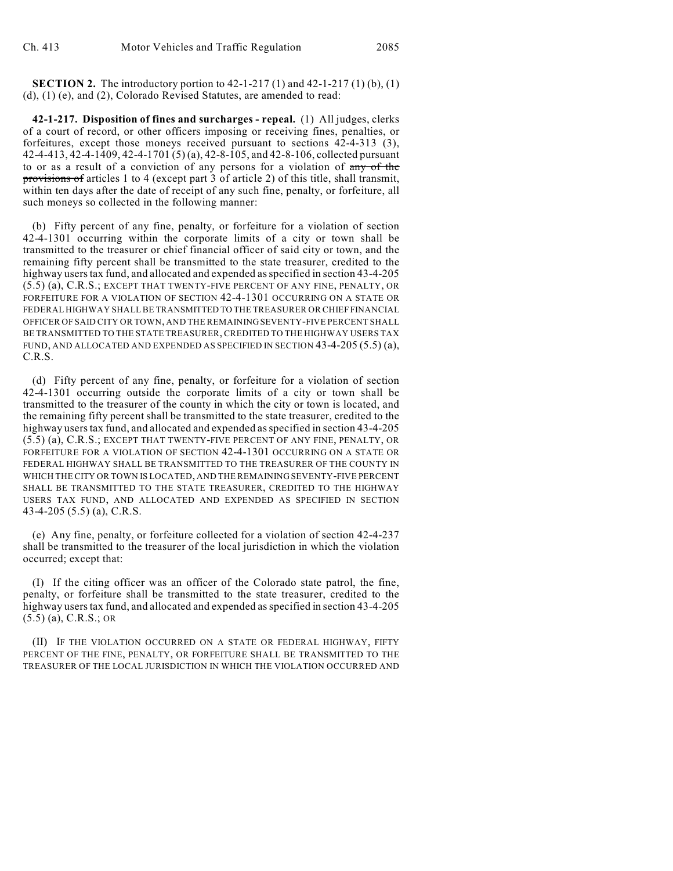**SECTION 2.** The introductory portion to  $42-1-217(1)$  and  $42-1-217(1)$  (b), (1) (d), (1) (e), and (2), Colorado Revised Statutes, are amended to read:

**42-1-217. Disposition of fines and surcharges - repeal.** (1) All judges, clerks of a court of record, or other officers imposing or receiving fines, penalties, or forfeitures, except those moneys received pursuant to sections 42-4-313 (3), 42-4-413, 42-4-1409, 42-4-1701 (5) (a), 42-8-105, and 42-8-106, collected pursuant to or as a result of a conviction of any persons for a violation of any of the provisions of articles 1 to 4 (except part 3 of article 2) of this title, shall transmit, within ten days after the date of receipt of any such fine, penalty, or forfeiture, all such moneys so collected in the following manner:

(b) Fifty percent of any fine, penalty, or forfeiture for a violation of section 42-4-1301 occurring within the corporate limits of a city or town shall be transmitted to the treasurer or chief financial officer of said city or town, and the remaining fifty percent shall be transmitted to the state treasurer, credited to the highway users tax fund, and allocated and expended as specified in section 43-4-205 (5.5) (a), C.R.S.; EXCEPT THAT TWENTY-FIVE PERCENT OF ANY FINE, PENALTY, OR FORFEITURE FOR A VIOLATION OF SECTION 42-4-1301 OCCURRING ON A STATE OR FEDERAL HIGHWAY SHALL BE TRANSMITTED TO THE TREASURER OR CHIEF FINANCIAL OFFICER OF SAID CITY OR TOWN, AND THE REMAINING SEVENTY-FIVE PERCENT SHALL BE TRANSMITTED TO THE STATE TREASURER, CREDITED TO THE HIGHWAY USERS TAX FUND, AND ALLOCATED AND EXPENDED AS SPECIFIED IN SECTION 43-4-205 (5.5) (a), C.R.S.

(d) Fifty percent of any fine, penalty, or forfeiture for a violation of section 42-4-1301 occurring outside the corporate limits of a city or town shall be transmitted to the treasurer of the county in which the city or town is located, and the remaining fifty percent shall be transmitted to the state treasurer, credited to the highway users tax fund, and allocated and expended as specified in section 43-4-205 (5.5) (a), C.R.S.; EXCEPT THAT TWENTY-FIVE PERCENT OF ANY FINE, PENALTY, OR FORFEITURE FOR A VIOLATION OF SECTION 42-4-1301 OCCURRING ON A STATE OR FEDERAL HIGHWAY SHALL BE TRANSMITTED TO THE TREASURER OF THE COUNTY IN WHICH THE CITY OR TOWN IS LOCATED, AND THE REMAINING SEVENTY-FIVE PERCENT SHALL BE TRANSMITTED TO THE STATE TREASURER, CREDITED TO THE HIGHWAY USERS TAX FUND, AND ALLOCATED AND EXPENDED AS SPECIFIED IN SECTION 43-4-205 (5.5) (a), C.R.S.

(e) Any fine, penalty, or forfeiture collected for a violation of section 42-4-237 shall be transmitted to the treasurer of the local jurisdiction in which the violation occurred; except that:

(I) If the citing officer was an officer of the Colorado state patrol, the fine, penalty, or forfeiture shall be transmitted to the state treasurer, credited to the highway users tax fund, and allocated and expended as specified in section 43-4-205 (5.5) (a), C.R.S.; OR

(II) IF THE VIOLATION OCCURRED ON A STATE OR FEDERAL HIGHWAY, FIFTY PERCENT OF THE FINE, PENALTY, OR FORFEITURE SHALL BE TRANSMITTED TO THE TREASURER OF THE LOCAL JURISDICTION IN WHICH THE VIOLATION OCCURRED AND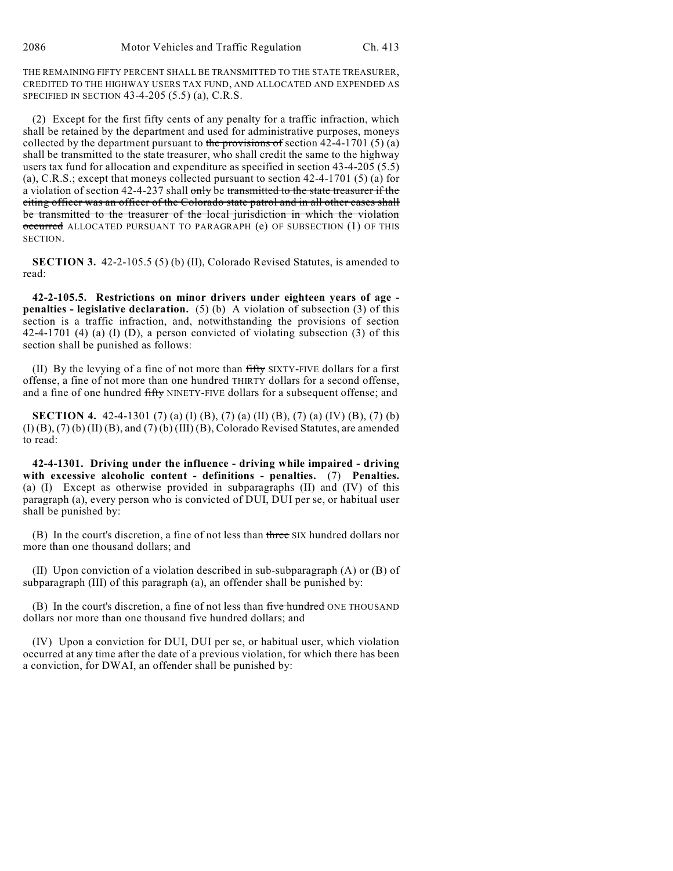THE REMAINING FIFTY PERCENT SHALL BE TRANSMITTED TO THE STATE TREASURER, CREDITED TO THE HIGHWAY USERS TAX FUND, AND ALLOCATED AND EXPENDED AS SPECIFIED IN SECTION 43-4-205 (5.5) (a), C.R.S.

(2) Except for the first fifty cents of any penalty for a traffic infraction, which shall be retained by the department and used for administrative purposes, moneys collected by the department pursuant to the provisions of section  $42-4-1701(5)(a)$ shall be transmitted to the state treasurer, who shall credit the same to the highway users tax fund for allocation and expenditure as specified in section 43-4-205 (5.5) (a), C.R.S.; except that moneys collected pursuant to section 42-4-1701 (5) (a) for a violation of section 42-4-237 shall only be transmitted to the state treasurer if the citing officer was an officer of the Colorado state patrol and in all other cases shall be transmitted to the treasurer of the local jurisdiction in which the violation occurred ALLOCATED PURSUANT TO PARAGRAPH (e) OF SUBSECTION (1) OF THIS SECTION.

**SECTION 3.** 42-2-105.5 (5) (b) (II), Colorado Revised Statutes, is amended to read:

**42-2-105.5. Restrictions on minor drivers under eighteen years of age penalties - legislative declaration.** (5) (b) A violation of subsection (3) of this section is a traffic infraction, and, notwithstanding the provisions of section 42-4-1701 (4) (a) (I) (D), a person convicted of violating subsection (3) of this section shall be punished as follows:

(II) By the levying of a fine of not more than fifty SIXTY-FIVE dollars for a first offense, a fine of not more than one hundred THIRTY dollars for a second offense, and a fine of one hundred fifty NINETY-FIVE dollars for a subsequent offense; and

**SECTION 4.** 42-4-1301 (7) (a) (I) (B), (7) (a) (II) (B), (7) (a) (IV) (B), (7) (b)  $(I)$   $(B)$ ,  $(7)$   $(b)$   $(II)$   $(B)$ , and  $(7)$   $(b)$   $(III)$   $(B)$ , Colorado Revised Statutes, are amended to read:

**42-4-1301. Driving under the influence - driving while impaired - driving with excessive alcoholic content - definitions - penalties.** (7) **Penalties.** (a) (I) Except as otherwise provided in subparagraphs (II) and (IV) of this paragraph (a), every person who is convicted of DUI, DUI per se, or habitual user shall be punished by:

(B) In the court's discretion, a fine of not less than three SIX hundred dollars nor more than one thousand dollars; and

(II) Upon conviction of a violation described in sub-subparagraph (A) or (B) of subparagraph (III) of this paragraph (a), an offender shall be punished by:

(B) In the court's discretion, a fine of not less than five hundred ONE THOUSAND dollars nor more than one thousand five hundred dollars; and

(IV) Upon a conviction for DUI, DUI per se, or habitual user, which violation occurred at any time after the date of a previous violation, for which there has been a conviction, for DWAI, an offender shall be punished by: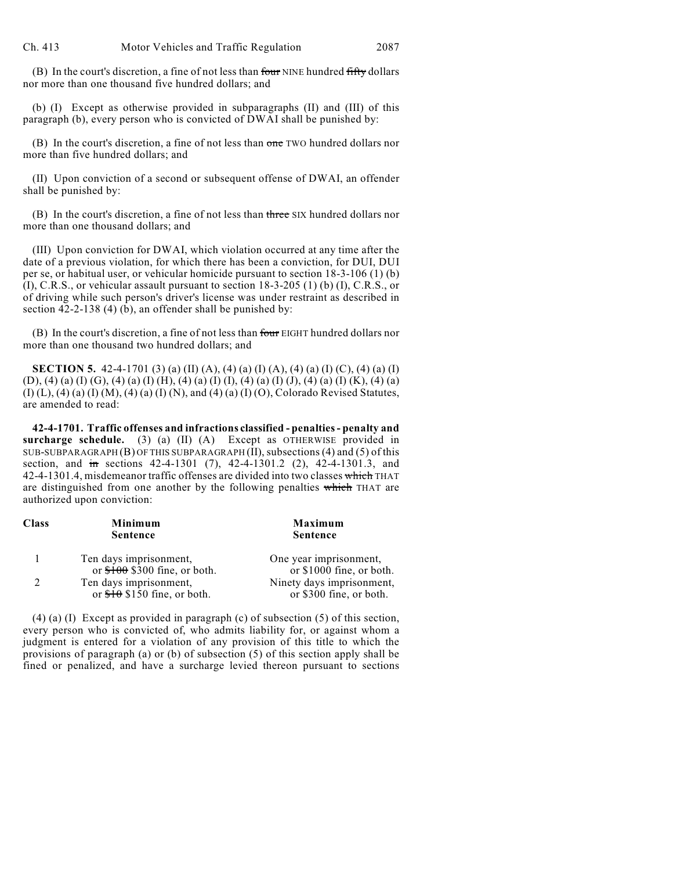(B) In the court's discretion, a fine of not less than four NINE hundred fifty dollars nor more than one thousand five hundred dollars; and

(b) (I) Except as otherwise provided in subparagraphs (II) and (III) of this paragraph (b), every person who is convicted of DWAI shall be punished by:

(B) In the court's discretion, a fine of not less than one TWO hundred dollars nor more than five hundred dollars; and

(II) Upon conviction of a second or subsequent offense of DWAI, an offender shall be punished by:

(B) In the court's discretion, a fine of not less than three SIX hundred dollars nor more than one thousand dollars; and

(III) Upon conviction for DWAI, which violation occurred at any time after the date of a previous violation, for which there has been a conviction, for DUI, DUI per se, or habitual user, or vehicular homicide pursuant to section 18-3-106 (1) (b) (I), C.R.S., or vehicular assault pursuant to section 18-3-205 (1) (b) (I), C.R.S., or of driving while such person's driver's license was under restraint as described in section 42-2-138 (4) (b), an offender shall be punished by:

(B) In the court's discretion, a fine of not less than four EIGHT hundred dollars nor more than one thousand two hundred dollars; and

**SECTION 5.** 42-4-1701 (3) (a) (II) (A), (4) (a) (I) (A), (4) (a) (I) (C), (4) (a) (I) (D), (4) (a) (I) (G), (4) (a) (I) (H), (4) (a) (I) (I), (4) (a) (I) (J), (4) (a) (I) (K), (4) (a)  $(I) (L)$ ,  $(4) (a) (I) (M)$ ,  $(4) (a) (I) (N)$ , and  $(4) (a) (I) (O)$ , Colorado Revised Statutes, are amended to read:

**42-4-1701. Traffic offenses and infractions classified - penalties - penalty and surcharge schedule.** (3) (a) (II) (A) Except as OTHERWISE provided in SUB-SUBPARAGRAPH (B) OF THIS SUBPARAGRAPH (II), subsections (4) and (5) of this section, and in sections 42-4-1301 (7), 42-4-1301.2 (2), 42-4-1301.3, and 42-4-1301.4, misdemeanor traffic offenses are divided into two classes which THAT are distinguished from one another by the following penalties which THAT are authorized upon conviction:

| Minimum<br><b>Sentence</b>   | Maximum<br><b>Sentence</b>                               |
|------------------------------|----------------------------------------------------------|
| Ten days imprisonment,       | One year imprisonment,<br>or \$1000 fine, or both.       |
|                              |                                                          |
| or $f0$ \$150 fine, or both. | Ninety days imprisonment,<br>or \$300 fine, or both.     |
|                              | or $$100$ \$300 fine, or both.<br>Ten days imprisonment, |

(4) (a) (I) Except as provided in paragraph (c) of subsection (5) of this section, every person who is convicted of, who admits liability for, or against whom a judgment is entered for a violation of any provision of this title to which the provisions of paragraph (a) or (b) of subsection (5) of this section apply shall be fined or penalized, and have a surcharge levied thereon pursuant to sections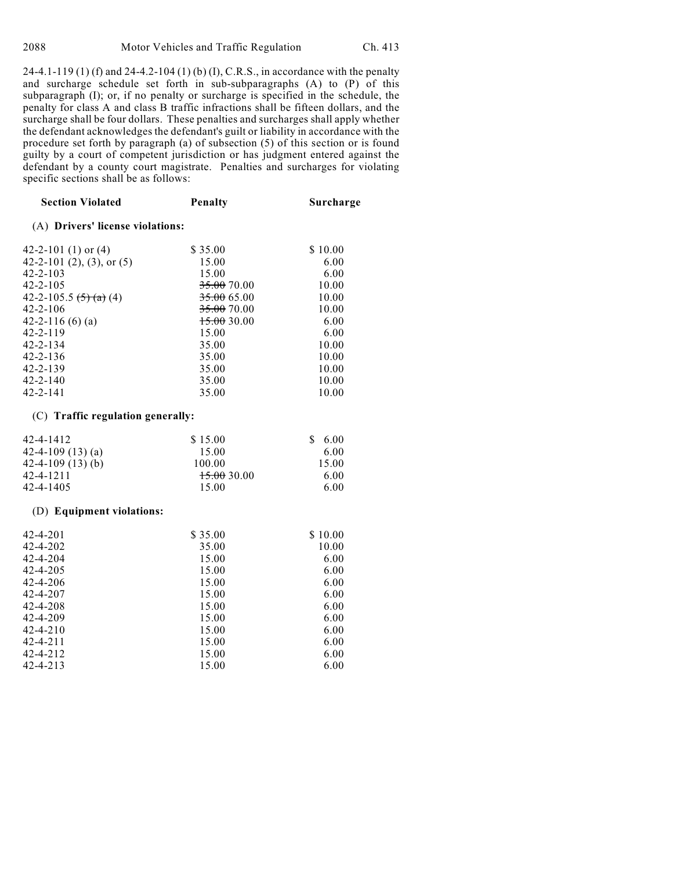24-4.1-119 (1) (f) and 24-4.2-104 (1) (b) (I), C.R.S., in accordance with the penalty and surcharge schedule set forth in sub-subparagraphs (A) to (P) of this subparagraph (I); or, if no penalty or surcharge is specified in the schedule, the penalty for class A and class B traffic infractions shall be fifteen dollars, and the surcharge shall be four dollars. These penalties and surcharges shall apply whether the defendant acknowledges the defendant's guilt or liability in accordance with the procedure set forth by paragraph (a) of subsection (5) of this section or is found guilty by a court of competent jurisdiction or has judgment entered against the defendant by a county court magistrate. Penalties and surcharges for violating specific sections shall be as follows:

| <b>Section Violated</b>           | <b>Penalty</b> | Surcharge |
|-----------------------------------|----------------|-----------|
| (A) Drivers' license violations:  |                |           |
| 42-2-101 (1) or $(4)$             | \$35.00        | \$10.00   |
| 42-2-101 (2), (3), or (5)         | 15.00          | 6.00      |
| 42-2-103                          | 15.00          | 6.00      |
| 42-2-105                          | 35.00 70.00    | 10.00     |
| 42-2-105.5 <del>(5) (a)</del> (4) | 35.00 65.00    | 10.00     |
| 42-2-106                          | 35.00 70.00    | 10.00     |
| $42 - 2 - 116$ (6) (a)            | 15.0030.00     | 6.00      |
| 42-2-119                          | 15.00          | 6.00      |
| 42-2-134                          | 35.00          | 10.00     |
| 42-2-136                          | 35.00          | 10.00     |
| 42-2-139                          | 35.00          | 10.00     |
| 42-2-140                          | 35.00          | 10.00     |
| 42-2-141                          | 35.00          | 10.00     |
|                                   |                |           |

#### (C) **Traffic regulation generally:**

| 42-4-1412           | \$15.00     | \$6.00 |
|---------------------|-------------|--------|
| 42-4-109 $(13)$ (a) | 15.00       | 6.00   |
| 42-4-109 $(13)$ (b) | 100.00      | 15.00  |
| 42-4-1211           | 15.00 30.00 | 6.00   |
| 42-4-1405           | 15.00       | 6.00   |

#### (D) **Equipment violations:**

| 42-4-201 | \$35.00 | \$10.00 |
|----------|---------|---------|
| 42-4-202 | 35.00   | 10.00   |
| 42-4-204 | 15.00   | 6.00    |
| 42-4-205 | 15.00   | 6.00    |
| 42-4-206 | 15.00   | 6.00    |
| 42-4-207 | 15.00   | 6.00    |
| 42-4-208 | 15.00   | 6.00    |
| 42-4-209 | 15.00   | 6.00    |
| 42-4-210 | 15.00   | 6.00    |
| 42-4-211 | 15.00   | 6.00    |
| 42-4-212 | 15.00   | 6.00    |
| 42-4-213 | 15.00   | 6.00    |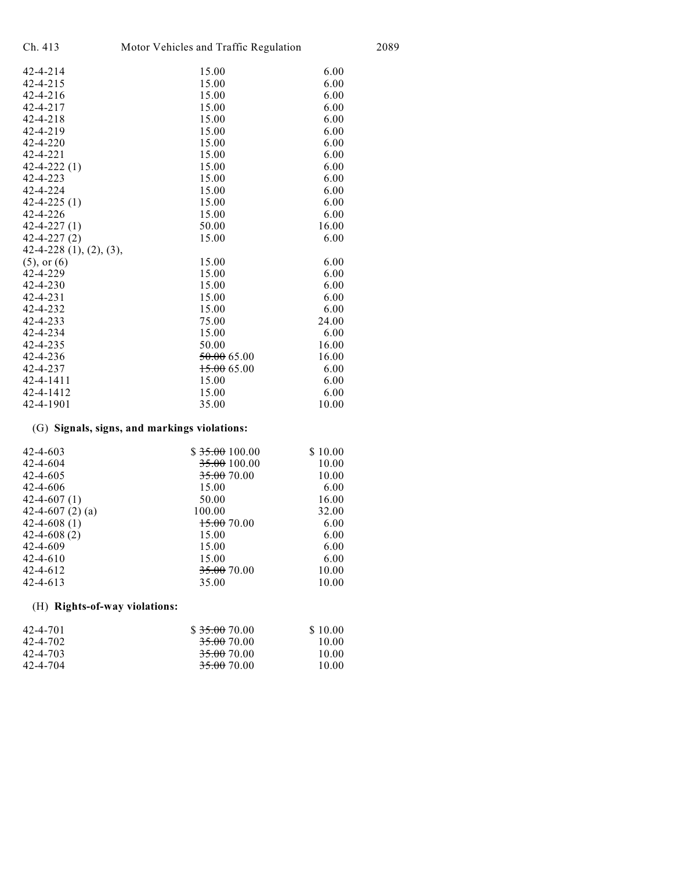| Ch. 413<br>Motor Vehicles and Traffic Regulation |             |       | 2089 |
|--------------------------------------------------|-------------|-------|------|
| $42 - 4 - 214$                                   | 15.00       | 6.00  |      |
| $42 - 4 - 215$                                   | 15.00       | 6.00  |      |
| $42 - 4 - 216$                                   | 15.00       | 6.00  |      |
| $42 - 4 - 217$                                   | 15.00       | 6.00  |      |
| $42 - 4 - 218$                                   | 15.00       | 6.00  |      |
| 42-4-219                                         | 15.00       | 6.00  |      |
| $42 - 4 - 220$                                   | 15.00       | 6.00  |      |
| $42 - 4 - 221$                                   | 15.00       | 6.00  |      |
| $42 - 4 - 222(1)$                                | 15.00       | 6.00  |      |
| $42 - 4 - 223$                                   | 15.00       | 6.00  |      |
| 42-4-224                                         | 15.00       | 6.00  |      |
| $42 - 4 - 225(1)$                                | 15.00       | 6.00  |      |
| $42 - 4 - 226$                                   | 15.00       | 6.00  |      |
| $42 - 4 - 227(1)$                                | 50.00       | 16.00 |      |
| $42 - 4 - 227(2)$                                | 15.00       | 6.00  |      |
| 42-4-228 (1), (2), (3),                          |             |       |      |
| $(5)$ , or $(6)$                                 | 15.00       | 6.00  |      |
| 42-4-229                                         | 15.00       | 6.00  |      |
| $42 - 4 - 230$                                   | 15.00       | 6.00  |      |
| $42 - 4 - 231$                                   | 15.00       | 6.00  |      |
| 42-4-232                                         | 15.00       | 6.00  |      |
| $42 - 4 - 233$                                   | 75.00       | 24.00 |      |
| 42-4-234                                         | 15.00       | 6.00  |      |
| 42-4-235                                         | 50.00       | 16.00 |      |
| $42 - 4 - 236$                                   | 50.0065.00  | 16.00 |      |
| 42-4-237                                         | 15.00665.00 | 6.00  |      |
| 42-4-1411                                        | 15.00       | 6.00  |      |
| 42-4-1412                                        | 15.00       | 6.00  |      |
| 42-4-1901                                        | 35.00       | 10.00 |      |
|                                                  |             |       |      |

## (G) **Signals, signs, and markings violations:**

| 42-4-603             | \$35.00100.00 | \$10.00 |
|----------------------|---------------|---------|
| 42-4-604             | 35.00 100.00  | 10.00   |
| 42-4-605             | 35.00 70.00   | 10.00   |
| 42-4-606             | 15.00         | 6.00    |
| 42-4-607 (1)         | 50.00         | 16.00   |
| 42-4-607 $(2)$ $(a)$ | 100.00        | 32.00   |
| 42-4-608 (1)         | 15.00 70.00   | 6.00    |
| 42-4-608(2)          | 15.00         | 6.00    |
| 42-4-609             | 15.00         | 6.00    |
| 42-4-610             | 15.00         | 6.00    |
| 42-4-612             | 35.00 70.00   | 10.00   |
| 42-4-613             | 35.00         | 10.00   |

## (H) **Rights-of-way violations:**

| 42-4-701 | \$35.0070.00           | \$10.00 |
|----------|------------------------|---------|
| 42-4-702 | 35.00 70.00            | 10.00   |
| 42-4-703 | <del>35.00</del> 70.00 | 10.00   |
| 42-4-704 | <del>35.00</del> 70.00 | 10.00   |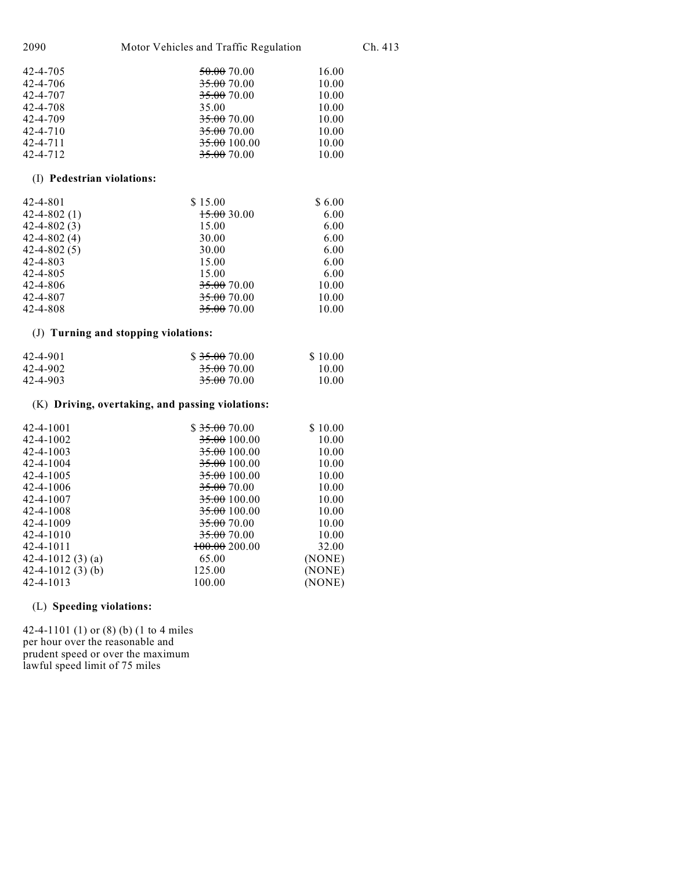| 2090<br>Motor Vehicles and Traffic Regulation |             | Ch. 413 |  |
|-----------------------------------------------|-------------|---------|--|
| 42-4-705                                      | 50.00 70.00 | 16.00   |  |
| $42 - 4 - 706$                                | 35.00 70.00 | 10.00   |  |
| 42-4-707                                      | 35.00 70.00 | 10.00   |  |
| 42-4-708                                      | 35.00       | 10.00   |  |
| 42-4-709                                      | 35.00 70.00 | 10.00   |  |
| $42 - 4 - 710$                                | 35.00 70.00 | 10.00   |  |
| $42 - 4 - 711$                                | 35.00100.00 | 10.00   |  |
| $42 - 4 - 712$                                | 35.00 70.00 | 10.00   |  |
|                                               |             |         |  |

## (I) **Pedestrian violations:**

| 42-4-801          | \$15.00     | \$6.00 |
|-------------------|-------------|--------|
| $42 - 4 - 802(1)$ | 15.00 30.00 | 6.00   |
| $42 - 4 - 802(3)$ | 15.00       | 6.00   |
| $42 - 4 - 802(4)$ | 30.00       | 6.00   |
| $42 - 4 - 802(5)$ | 30.00       | 6.00   |
| 42-4-803          | 15.00       | 6.00   |
| 42-4-805          | 15.00       | 6.00   |
| 42-4-806          | 35.00 70.00 | 10.00  |
| 42-4-807          | 35.00 70.00 | 10.00  |
| 42-4-808          | 35.00 70.00 | 10.00  |

## (J) **Turning and stopping violations:**

| 42-4-901 | \$35.0070.00           | \$10.00 |
|----------|------------------------|---------|
| 42-4-902 | <del>35.00</del> 70.00 | 10.00   |
| 42-4-903 | <del>35.00</del> 70.00 | 10.00   |

## (K) **Driving, overtaking, and passing violations:**

| 42-4-1001             | \$35.0070.00            | \$10.00 |
|-----------------------|-------------------------|---------|
| 42-4-1002             | <del>35.00</del> 100.00 | 10.00   |
| 42-4-1003             | <del>35.00</del> 100.00 | 10.00   |
| 42-4-1004             | <del>35.00</del> 100.00 | 10.00   |
| 42-4-1005             | <del>35.00</del> 100.00 | 10.00   |
| 42-4-1006             | <del>35.00</del> 70.00  | 10.00   |
| 42-4-1007             | <del>35.00</del> 100.00 | 10.00   |
| 42-4-1008             | <del>35.00</del> 100.00 | 10.00   |
| 42-4-1009             | 35.00 70.00             | 10.00   |
| 42-4-1010             | 35.00 70.00             | 10.00   |
| 42-4-1011             | $+00.00200.00$          | 32.00   |
| 42-4-1012 $(3)$ $(a)$ | 65.00                   | (NONE)  |
| 42-4-1012 $(3)$ (b)   | 125.00                  | (NONE)  |
| 42-4-1013             | 100.00                  | (NONE)  |
|                       |                         |         |

## (L) **Speeding violations:**

42-4-1101 (1) or (8) (b) (1 to 4 miles per hour over the reasonable and prudent speed or over the maximum lawful speed limit of 75 miles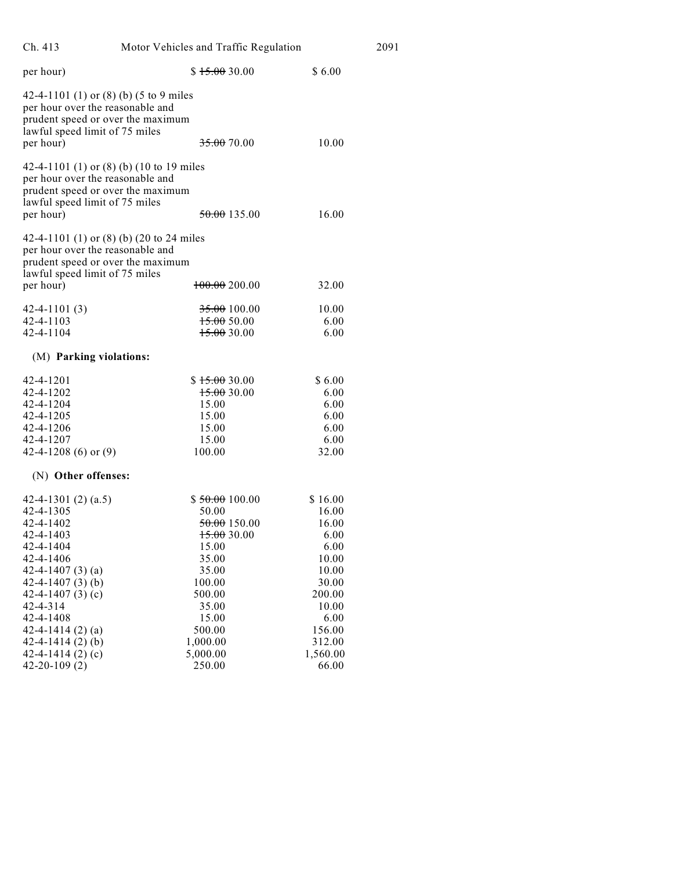| Ch. 413                                                                                                                                                          | Motor Vehicles and Traffic Regulation                                             |                                                         | 2091 |
|------------------------------------------------------------------------------------------------------------------------------------------------------------------|-----------------------------------------------------------------------------------|---------------------------------------------------------|------|
| per hour)                                                                                                                                                        | \$15.0030.00                                                                      | \$6.00                                                  |      |
| 42-4-1101 (1) or (8) (b) (5 to 9 miles<br>per hour over the reasonable and<br>prudent speed or over the maximum<br>lawful speed limit of 75 miles<br>per hour)   | <del>35.00</del> 70.00                                                            | 10.00                                                   |      |
| 42-4-1101 (1) or (8) (b) (10 to 19 miles<br>per hour over the reasonable and<br>prudent speed or over the maximum<br>lawful speed limit of 75 miles<br>per hour) | 50.00 135.00                                                                      | 16.00                                                   |      |
| 42-4-1101 (1) or (8) (b) (20 to 24 miles<br>per hour over the reasonable and<br>prudent speed or over the maximum<br>lawful speed limit of 75 miles              |                                                                                   |                                                         |      |
| per hour)                                                                                                                                                        | 100.00200.00                                                                      | 32.00                                                   |      |
| $42 - 4 - 1101(3)$<br>42-4-1103<br>42-4-1104                                                                                                                     | 35.00100.00<br>15.00500<br>15.00300                                               | 10.00<br>6.00<br>6.00                                   |      |
| (M) Parking violations:                                                                                                                                          |                                                                                   |                                                         |      |
| 42-4-1201<br>42-4-1202<br>42-4-1204<br>42-4-1205<br>42-4-1206<br>42-4-1207<br>42-4-1208 (6) or $(9)$                                                             | \$15.0030.00<br>15.00300<br>15.00<br>15.00<br>15.00<br>15.00<br>100.00            | \$6.00<br>6.00<br>6.00<br>6.00<br>6.00<br>6.00<br>32.00 |      |
| (N) Other offenses:                                                                                                                                              |                                                                                   |                                                         |      |
| 42-4-1301 $(2)$ $(a.5)$<br>42-4-1305<br>42-4-1402<br>42-4-1403<br>42-4-1404<br>42-4-1406                                                                         | \$50.00100.00<br>50.00<br><del>50.00</del> 150.00<br>15.0030.00<br>15.00<br>35.00 | \$16.00<br>16.00<br>16.00<br>6.00<br>6.00<br>10.00      |      |
| 42-4-1407 $(3)$ $(a)$<br>42-4-1407 $(3)$ (b)<br>42-4-1407 $(3)(c)$<br>$42 - 4 - 314$<br>42-4-1408                                                                | 35.00<br>100.00<br>500.00<br>35.00<br>15.00                                       | 10.00<br>30.00<br>200.00<br>10.00<br>6.00               |      |
| 42-4-1414 $(2)$ $(a)$<br>$42 - 4 - 1414(2)$ (b)<br>42-4-1414 $(2)$ $(c)$<br>$42 - 20 - 109(2)$                                                                   | 500.00<br>1,000.00<br>5,000.00<br>250.00                                          | 156.00<br>312.00<br>1,560.00<br>66.00                   |      |